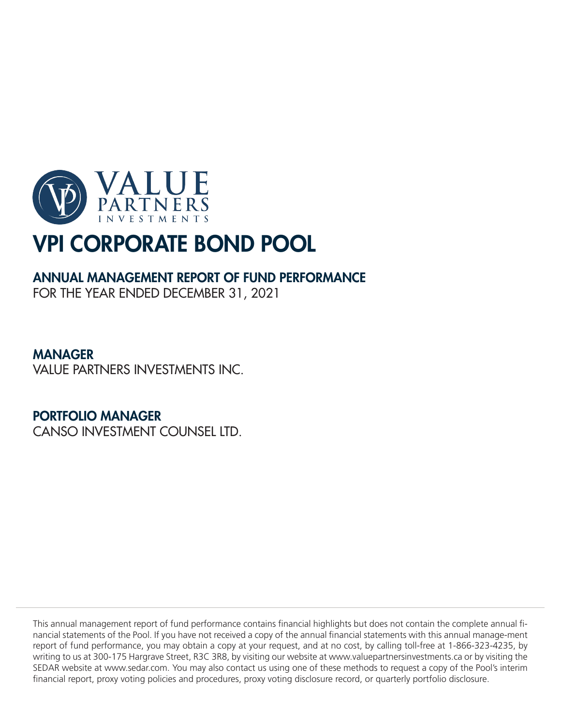

# ANNUAL MANAGEMENT REPORT OF FUND PERFORMANCE

FOR THE YEAR ENDED DECEMBER 31, 2021

# MANAGER

VALUE PARTNERS INVESTMENTS INC.

# PORTFOLIO MANAGER

CANSO INVESTMENT COUNSEL LTD.

This annual management report of fund performance contains financial highlights but does not contain the complete annual financial statements of the Pool. If you have not received a copy of the annual financial statements with this annual manage-ment report of fund performance, you may obtain a copy at your request, and at no cost, by calling toll-free at 1-866-323-4235, by writing to us at 300-175 Hargrave Street, R3C 3R8, by visiting our website at www.valuepartnersinvestments.ca or by visiting the SEDAR website at www.sedar.com. You may also contact us using one of these methods to request a copy of the Pool's interim financial report, proxy voting policies and procedures, proxy voting disclosure record, or quarterly portfolio disclosure.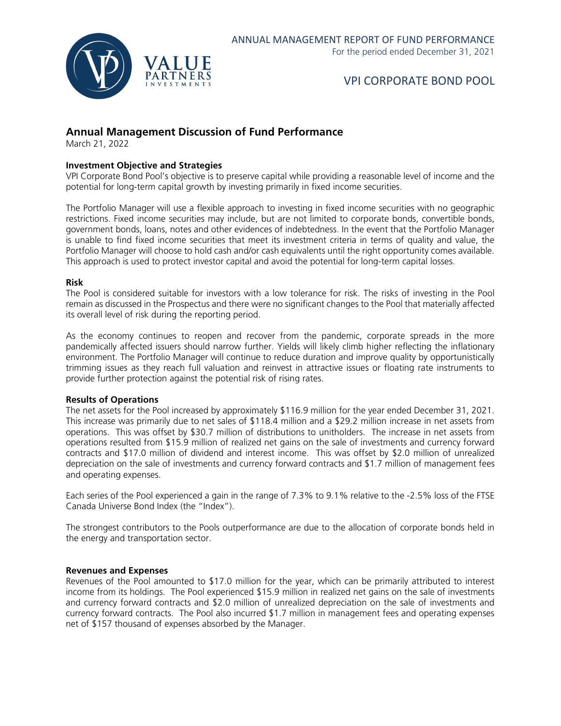

### **Annual Management Discussion of Fund Performance**

March 21, 2022

#### **Investment Objective and Strategies**

VPI Corporate Bond Pool's objective is to preserve capital while providing a reasonable level of income and the potential for long-term capital growth by investing primarily in fixed income securities.

The Portfolio Manager will use a flexible approach to investing in fixed income securities with no geographic restrictions. Fixed income securities may include, but are not limited to corporate bonds, convertible bonds, government bonds, loans, notes and other evidences of indebtedness. In the event that the Portfolio Manager is unable to find fixed income securities that meet its investment criteria in terms of quality and value, the Portfolio Manager will choose to hold cash and/or cash equivalents until the right opportunity comes available. This approach is used to protect investor capital and avoid the potential for long-term capital losses.

#### **Risk**

The Pool is considered suitable for investors with a low tolerance for risk. The risks of investing in the Pool remain as discussed in the Prospectus and there were no significant changes to the Pool that materially affected its overall level of risk during the reporting period.

As the economy continues to reopen and recover from the pandemic, corporate spreads in the more pandemically affected issuers should narrow further. Yields will likely climb higher reflecting the inflationary environment. The Portfolio Manager will continue to reduce duration and improve quality by opportunistically trimming issues as they reach full valuation and reinvest in attractive issues or floating rate instruments to provide further protection against the potential risk of rising rates.

#### **Results of Operations**

The net assets for the Pool increased by approximately \$116.9 million for the year ended December 31, 2021. This increase was primarily due to net sales of \$118.4 million and a \$29.2 million increase in net assets from operations. This was offset by \$30.7 million of distributions to unitholders. The increase in net assets from operations resulted from \$15.9 million of realized net gains on the sale of investments and currency forward contracts and \$17.0 million of dividend and interest income. This was offset by \$2.0 million of unrealized depreciation on the sale of investments and currency forward contracts and \$1.7 million of management fees and operating expenses.

Each series of the Pool experienced a gain in the range of 7.3% to 9.1% relative to the -2.5% loss of the FTSE Canada Universe Bond Index (the "Index").

The strongest contributors to the Pools outperformance are due to the allocation of corporate bonds held in the energy and transportation sector.

#### **Revenues and Expenses**

Revenues of the Pool amounted to \$17.0 million for the year, which can be primarily attributed to interest income from its holdings. The Pool experienced \$15.9 million in realized net gains on the sale of investments and currency forward contracts and \$2.0 million of unrealized depreciation on the sale of investments and currency forward contracts. The Pool also incurred \$1.7 million in management fees and operating expenses net of \$157 thousand of expenses absorbed by the Manager.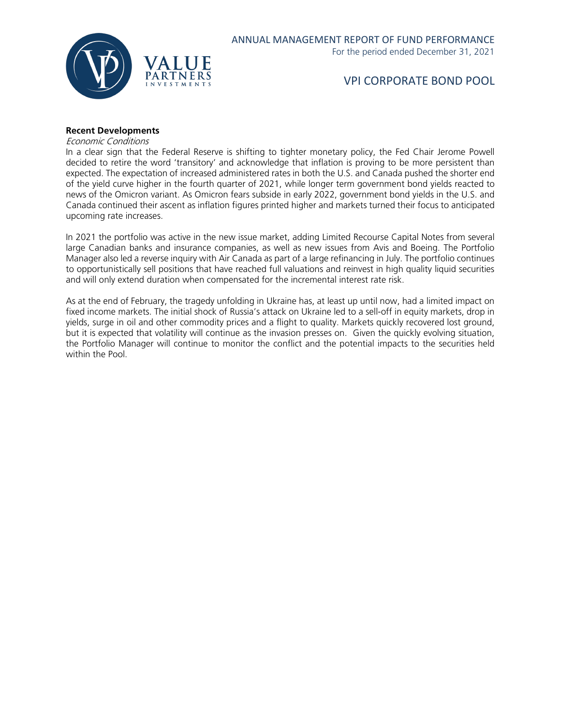

#### **Recent Developments**

Economic Conditions

In a clear sign that the Federal Reserve is shifting to tighter monetary policy, the Fed Chair Jerome Powell decided to retire the word 'transitory' and acknowledge that inflation is proving to be more persistent than expected. The expectation of increased administered rates in both the U.S. and Canada pushed the shorter end of the yield curve higher in the fourth quarter of 2021, while longer term government bond yields reacted to news of the Omicron variant. As Omicron fears subside in early 2022, government bond yields in the U.S. and Canada continued their ascent as inflation figures printed higher and markets turned their focus to anticipated upcoming rate increases.

In 2021 the portfolio was active in the new issue market, adding Limited Recourse Capital Notes from several large Canadian banks and insurance companies, as well as new issues from Avis and Boeing. The Portfolio Manager also led a reverse inquiry with Air Canada as part of a large refinancing in July. The portfolio continues to opportunistically sell positions that have reached full valuations and reinvest in high quality liquid securities and will only extend duration when compensated for the incremental interest rate risk.

As at the end of February, the tragedy unfolding in Ukraine has, at least up until now, had a limited impact on fixed income markets. The initial shock of Russia's attack on Ukraine led to a sell-off in equity markets, drop in yields, surge in oil and other commodity prices and a flight to quality. Markets quickly recovered lost ground, but it is expected that volatility will continue as the invasion presses on. Given the quickly evolving situation, the Portfolio Manager will continue to monitor the conflict and the potential impacts to the securities held within the Pool.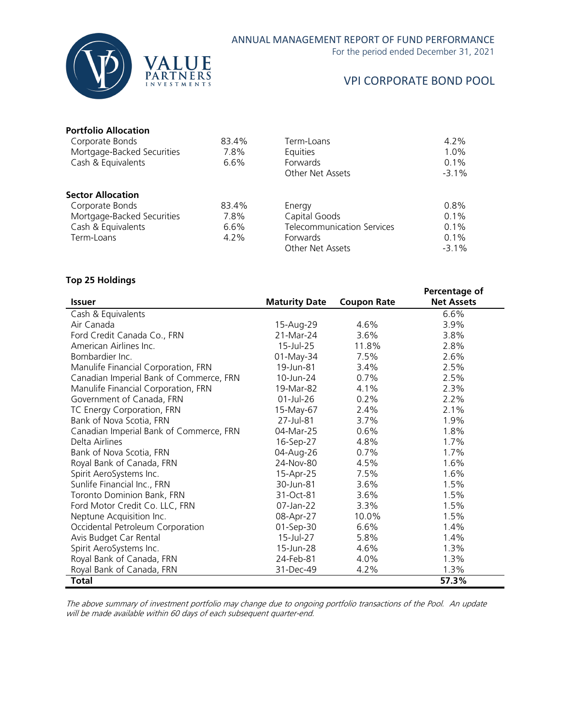

### ANNUAL MANAGEMENT REPORT OF FUND PERFORMANCE

For the period ended December 31, 2021

### VPI CORPORATE BOND POOL

#### **Portfolio Allocation**

| Corporate Bonds            | 83.4%   | Term-Loans                        | $4.2\%$  |
|----------------------------|---------|-----------------------------------|----------|
| Mortgage-Backed Securities | 7.8%    | <b>Equities</b>                   | 1.0%     |
| Cash & Equivalents         | $6.6\%$ | Forwards                          | $0.1\%$  |
|                            |         | Other Net Assets                  | $-3.1\%$ |
| <b>Sector Allocation</b>   |         |                                   |          |
| Corporate Bonds            | 83.4%   | Energy                            | 0.8%     |
| Mortgage-Backed Securities | 7.8%    | Capital Goods                     | $0.1\%$  |
| Cash & Equivalents         | 6.6%    | <b>Telecommunication Services</b> | 0.1%     |
| Term-Loans                 | $4.2\%$ | <b>Forwards</b>                   | $0.1\%$  |
|                            |         | Other Net Assets                  | $-3.1\%$ |

#### **Top 25 Holdings**

|                                         |                      |                    | Percentage of     |
|-----------------------------------------|----------------------|--------------------|-------------------|
| <b>Issuer</b>                           | <b>Maturity Date</b> | <b>Coupon Rate</b> | <b>Net Assets</b> |
| Cash & Equivalents                      |                      |                    | 6.6%              |
| Air Canada                              | 15-Aug-29            | 4.6%               | 3.9%              |
| Ford Credit Canada Co., FRN             | 21-Mar-24            | 3.6%               | 3.8%              |
| American Airlines Inc.                  | 15-Jul-25            | 11.8%              | 2.8%              |
| Bombardier Inc.                         | 01-May-34            | 7.5%               | 2.6%              |
| Manulife Financial Corporation, FRN     | 19-Jun-81            | 3.4%               | 2.5%              |
| Canadian Imperial Bank of Commerce, FRN | 10-Jun-24            | 0.7%               | 2.5%              |
| Manulife Financial Corporation, FRN     | 19-Mar-82            | 4.1%               | 2.3%              |
| Government of Canada, FRN               | $01$ -Jul-26         | 0.2%               | $2.2\%$           |
| TC Energy Corporation, FRN              | 15-May-67            | 2.4%               | 2.1%              |
| Bank of Nova Scotia, FRN                | 27-Jul-81            | 3.7%               | 1.9%              |
| Canadian Imperial Bank of Commerce, FRN | 04-Mar-25            | 0.6%               | 1.8%              |
| Delta Airlines                          | 16-Sep-27            | 4.8%               | 1.7%              |
| Bank of Nova Scotia, FRN                | 04-Aug-26            | 0.7%               | 1.7%              |
| Royal Bank of Canada, FRN               | 24-Nov-80            | 4.5%               | 1.6%              |
| Spirit AeroSystems Inc.                 | 15-Apr-25            | 7.5%               | 1.6%              |
| Sunlife Financial Inc., FRN             | 30-Jun-81            | 3.6%               | 1.5%              |
| Toronto Dominion Bank, FRN              | 31-Oct-81            | 3.6%               | 1.5%              |
| Ford Motor Credit Co. LLC, FRN          | 07-Jan-22            | 3.3%               | 1.5%              |
| Neptune Acquisition Inc.                | 08-Apr-27            | 10.0%              | 1.5%              |
| Occidental Petroleum Corporation        | 01-Sep-30            | 6.6%               | 1.4%              |
| Avis Budget Car Rental                  | 15-Jul-27            | 5.8%               | 1.4%              |
| Spirit AeroSystems Inc.                 | 15-Jun-28            | 4.6%               | 1.3%              |
| Royal Bank of Canada, FRN               | 24-Feb-81            | 4.0%               | 1.3%              |
| Royal Bank of Canada, FRN               | 31-Dec-49            | 4.2%               | 1.3%              |
| <b>Total</b>                            |                      |                    | 57.3%             |

The above summary of investment portfolio may change due to ongoing portfolio transactions of the Pool. An update will be made available within 60 days of each subsequent quarter-end.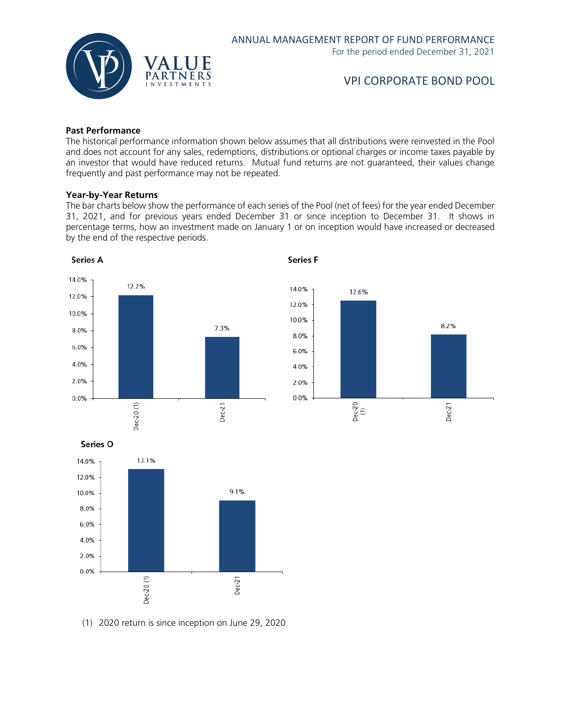

#### **Past Performance**

The historical performance information shown below assumes that all distributions were reinvested in the Pool and does not account for any sales, redemptions, distributions or optional charges or income taxes payable by an investor that would have reduced returns. Mutual fund returns are not guaranteed, their values change frequently and past performance may not be repeated.

#### **Year-by-Year Returns**

The bar charts below show the performance of each series of the Pool (net of fees) for the year ended December 31, 2021, and for previous years ended December 31 or since inception to December 31. It shows in percentage terms, how an investment made on January 1 or on inception would have increased or decreased by the end of the respective periods.

**Series F** 







(1) 2020 return is since inception on June 29, 2020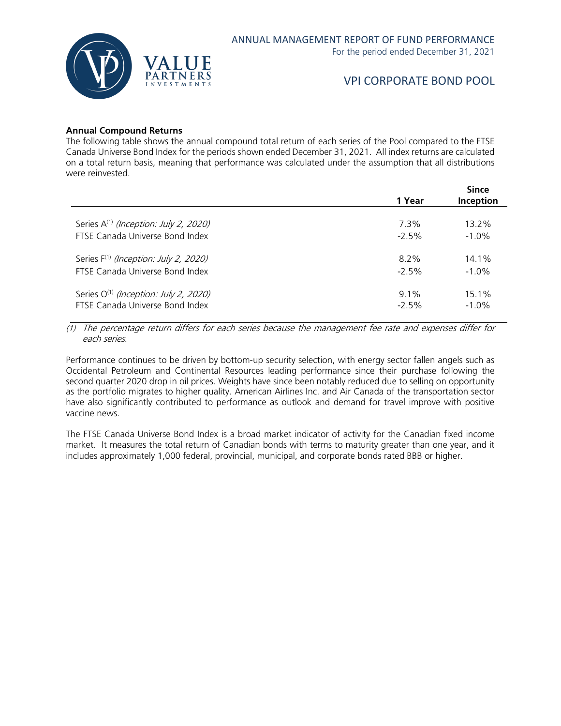

#### **Annual Compound Returns**

The following table shows the annual compound total return of each series of the Pool compared to the FTSE Canada Universe Bond Index for the periods shown ended December 31, 2021. All index returns are calculated on a total return basis, meaning that performance was calculated under the assumption that all distributions were reinvested.

|                                                                                      | 1 Year             | <b>Since</b><br><b>Inception</b> |
|--------------------------------------------------------------------------------------|--------------------|----------------------------------|
| Series A <sup>(1)</sup> (Inception: July 2, 2020)                                    | 7.3%               | 13.2%                            |
| FTSE Canada Universe Bond Index                                                      | $-2.5%$            | $-1.0\%$                         |
| Series F <sup>(1)</sup> (Inception: July 2, 2020)                                    | 8.2%               | 14.1%                            |
| FTSE Canada Universe Bond Index                                                      | $-2.5%$            | $-1.0\%$                         |
| Series O <sup>(1)</sup> (Inception: July 2, 2020)<br>FTSE Canada Universe Bond Index | $9.1\%$<br>$-2.5%$ | $15.1\%$<br>$-1.0%$              |

(1) The percentage return differs for each series because the management fee rate and expenses differ for each series.

Performance continues to be driven by bottom-up security selection, with energy sector fallen angels such as Occidental Petroleum and Continental Resources leading performance since their purchase following the second quarter 2020 drop in oil prices. Weights have since been notably reduced due to selling on opportunity as the portfolio migrates to higher quality. American Airlines Inc. and Air Canada of the transportation sector have also significantly contributed to performance as outlook and demand for travel improve with positive vaccine news.

The FTSE Canada Universe Bond Index is a broad market indicator of activity for the Canadian fixed income market. It measures the total return of Canadian bonds with terms to maturity greater than one year, and it includes approximately 1,000 federal, provincial, municipal, and corporate bonds rated BBB or higher.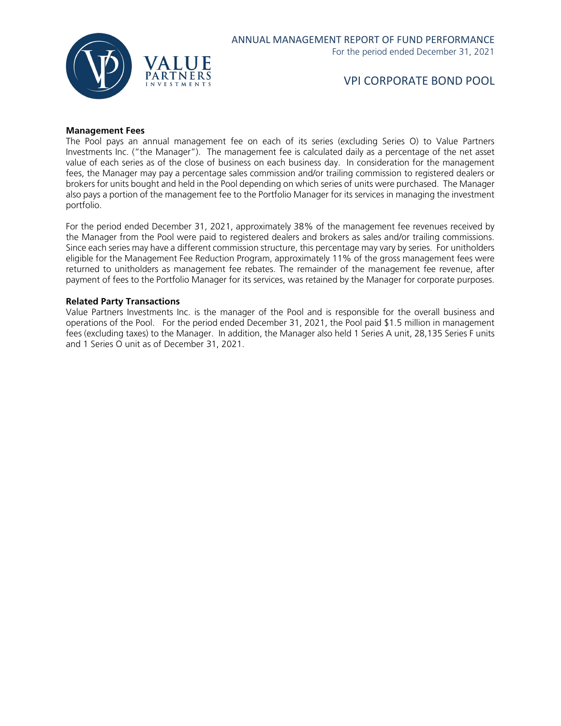

#### **Management Fees**

The Pool pays an annual management fee on each of its series (excluding Series O) to Value Partners Investments Inc. ("the Manager"). The management fee is calculated daily as a percentage of the net asset value of each series as of the close of business on each business day. In consideration for the management fees, the Manager may pay a percentage sales commission and/or trailing commission to registered dealers or brokers for units bought and held in the Pool depending on which series of units were purchased. The Manager also pays a portion of the management fee to the Portfolio Manager for its services in managing the investment portfolio.

For the period ended December 31, 2021, approximately 38% of the management fee revenues received by the Manager from the Pool were paid to registered dealers and brokers as sales and/or trailing commissions. Since each series may have a different commission structure, this percentage may vary by series. For unitholders eligible for the Management Fee Reduction Program, approximately 11% of the gross management fees were returned to unitholders as management fee rebates. The remainder of the management fee revenue, after payment of fees to the Portfolio Manager for its services, was retained by the Manager for corporate purposes.

#### **Related Party Transactions**

Value Partners Investments Inc. is the manager of the Pool and is responsible for the overall business and operations of the Pool. For the period ended December 31, 2021, the Pool paid \$1.5 million in management fees (excluding taxes) to the Manager. In addition, the Manager also held 1 Series A unit, 28,135 Series F units and 1 Series O unit as of December 31, 2021.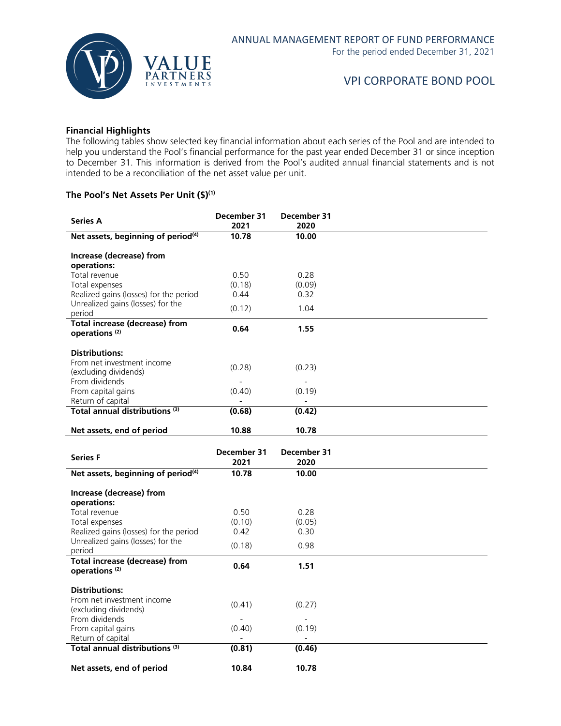

#### **Financial Highlights**

The following tables show selected key financial information about each series of the Pool and are intended to help you understand the Pool's financial performance for the past year ended December 31 or since inception to December 31. This information is derived from the Pool's audited annual financial statements and is not intended to be a reconciliation of the net asset value per unit.

#### **The Pool's Net Assets Per Unit (\$)(1)**

| <b>Series A</b>                                                             | December 31<br>2021 | December 31<br>2020      |  |
|-----------------------------------------------------------------------------|---------------------|--------------------------|--|
| Net assets, beginning of period <sup>(4)</sup>                              | 10.78               | 10.00                    |  |
| Increase (decrease) from<br>operations:                                     |                     |                          |  |
| Total revenue                                                               | 0.50                | 0.28                     |  |
| Total expenses                                                              | (0.18)              | (0.09)                   |  |
| Realized gains (losses) for the period<br>Unrealized gains (losses) for the | 0.44                | 0.32                     |  |
| period                                                                      | (0.12)              | 1.04                     |  |
| <b>Total increase (decrease) from</b><br>operations <sup>(2)</sup>          | 0.64                | 1.55                     |  |
| <b>Distributions:</b>                                                       |                     |                          |  |
| From net investment income                                                  |                     |                          |  |
| (excluding dividends)                                                       | (0.28)              | (0.23)                   |  |
| From dividends<br>From capital gains                                        | (0.40)              | (0.19)                   |  |
| Return of capital                                                           |                     |                          |  |
| Total annual distributions <sup>(3)</sup>                                   | (0.68)              | (0.42)                   |  |
| Net assets, end of period                                                   | 10.88               | 10.78                    |  |
|                                                                             |                     |                          |  |
| <b>Series F</b>                                                             | December 31<br>2021 | December 31<br>2020      |  |
| Net assets, beginning of period <sup>(4)</sup>                              | 10.78               | 10.00                    |  |
| Increase (decrease) from                                                    |                     |                          |  |
| operations:                                                                 |                     |                          |  |
| Total revenue                                                               | 0.50                | 0.28                     |  |
| Total expenses<br>Realized gains (losses) for the period                    | (0.10)<br>0.42      | (0.05)<br>0.30           |  |
| Unrealized gains (losses) for the                                           | (0.18)              | 0.98                     |  |
| period<br><b>Total increase (decrease) from</b>                             |                     |                          |  |
| operations <sup>(2)</sup>                                                   | 0.64                | 1.51                     |  |
| <b>Distributions:</b>                                                       |                     |                          |  |
| From net investment income                                                  | (0.41)              | (0.27)                   |  |
| (excluding dividends)<br>From dividends                                     | $\overline{a}$      | $\overline{\phantom{a}}$ |  |
| From capital gains                                                          | (0.40)              | (0.19)                   |  |
| Return of capital                                                           |                     |                          |  |
| Total annual distributions <sup>(3)</sup>                                   | (0.81)              | (0.46)                   |  |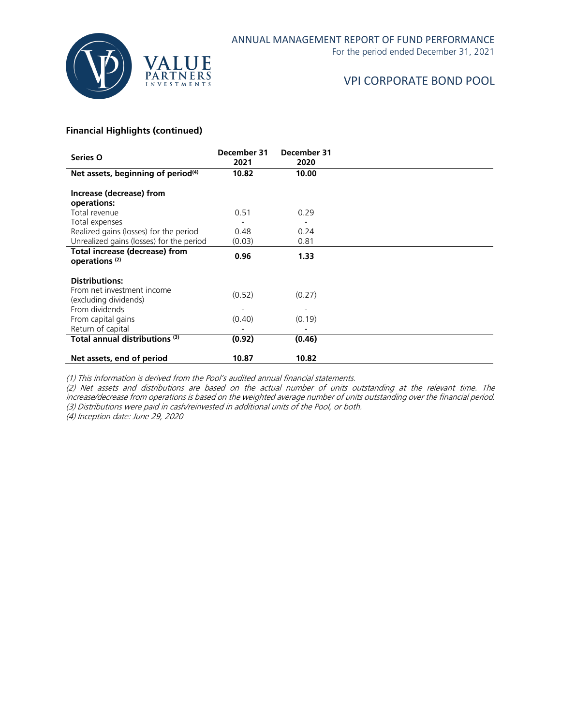

For the period ended December 31, 2021

# VPI CORPORATE BOND POOL

#### **Financial Highlights (continued)**

| Series O                                                                     | December 31<br>2021 | December 31<br>2020 |  |
|------------------------------------------------------------------------------|---------------------|---------------------|--|
| Net assets, beginning of period <sup>(4)</sup>                               | 10.82               | 10.00               |  |
| Increase (decrease) from<br>operations:                                      |                     |                     |  |
| Total revenue                                                                | 0.51                | 0.29                |  |
| Total expenses                                                               |                     |                     |  |
| Realized gains (losses) for the period                                       | 0.48                | 0.24                |  |
| Unrealized gains (losses) for the period                                     | (0.03)              | 0.81                |  |
| <b>Total increase (decrease) from</b><br>operations <sup>(2)</sup>           | 0.96                | 1.33                |  |
| <b>Distributions:</b><br>From net investment income<br>(excluding dividends) | (0.52)              | (0.27)              |  |
| From dividends<br>From capital gains<br>Return of capital                    | (0.40)              | (0.19)              |  |
| Total annual distributions <sup>(3)</sup>                                    | (0.92)              | (0.46)              |  |
| Net assets, end of period                                                    | 10.87               | 10.82               |  |

(1) This information is derived from the Pool's audited annual financial statements.

(2) Net assets and distributions are based on the actual number of units outstanding at the relevant time. The increase/decrease from operations is based on the weighted average number of units outstanding over the financial period. (3) Distributions were paid in cash/reinvested in additional units of the Pool, or both.

(4) Inception date: June 29, 2020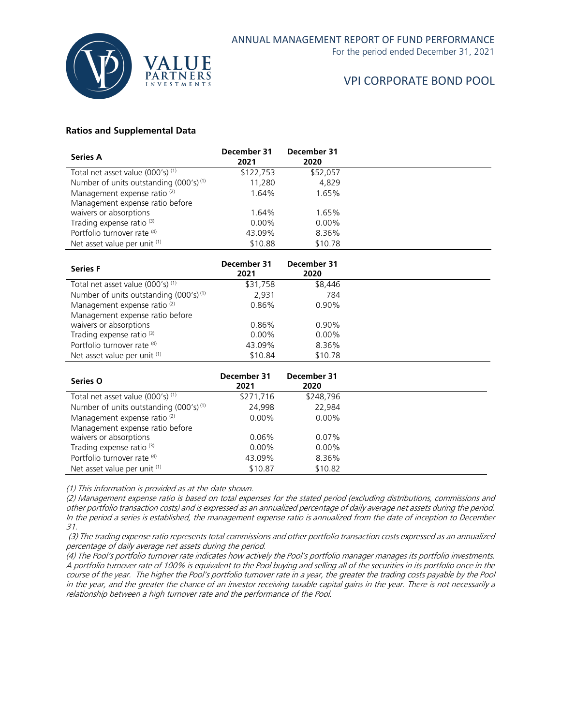

For the period ended December 31, 2021

# VPI CORPORATE BOND POOL

#### **Ratios and Supplemental Data**

| <b>Series A</b>                                    | December 31<br>2021 | December 31<br>2020 |  |
|----------------------------------------------------|---------------------|---------------------|--|
| Total net asset value (000's) <sup>(1)</sup>       | \$122,753           | \$52.057            |  |
| Number of units outstanding (000's) <sup>(1)</sup> | 11,280              | 4,829               |  |
| Management expense ratio <sup>(2)</sup>            | 1.64%               | 1.65%               |  |
| Management expense ratio before                    |                     |                     |  |
| waivers or absorptions                             | 1.64%               | 1.65%               |  |
| Trading expense ratio <sup>(3)</sup>               | $0.00\%$            | $0.00\%$            |  |
| Portfolio turnover rate (4)                        | 43.09%              | 8.36%               |  |
| Net asset value per unit (1)                       | \$10.88             | \$10.78             |  |

| <b>Series F</b>                                    | December 31<br>2021 | December 31<br>2020 |  |
|----------------------------------------------------|---------------------|---------------------|--|
| Total net asset value $(000's)^{(1)}$              | \$31,758            | \$8.446             |  |
| Number of units outstanding (000's) <sup>(1)</sup> | 2,931               | 784                 |  |
| Management expense ratio <sup>(2)</sup>            | 0.86%               | $0.90\%$            |  |
| Management expense ratio before                    |                     |                     |  |
| waivers or absorptions                             | 0.86%               | $0.90\%$            |  |
| Trading expense ratio <sup>(3)</sup>               | $0.00\%$            | $0.00\%$            |  |
| Portfolio turnover rate (4)                        | 43.09%              | 8.36%               |  |
| Net asset value per unit $(1)$                     | \$10.84             | \$10.78             |  |
| Series O                                           | December 31<br>2021 | December 31<br>2020 |  |

| JUILJ U                                            | 2021      | 2020      |  |
|----------------------------------------------------|-----------|-----------|--|
| Total net asset value (000's) (1)                  | \$271,716 | \$248.796 |  |
| Number of units outstanding (000's) <sup>(1)</sup> | 24.998    | 22.984    |  |
| Management expense ratio <sup>(2)</sup>            | $0.00\%$  | $0.00\%$  |  |
| Management expense ratio before                    |           |           |  |
| waivers or absorptions                             | 0.06%     | $0.07\%$  |  |
| Trading expense ratio <sup>(3)</sup>               | $0.00\%$  | $0.00\%$  |  |
| Portfolio turnover rate (4)                        | 43.09%    | 8.36%     |  |
| Net asset value per unit $(1)$                     | \$10.87   | \$10.82   |  |

(1) This information is provided as at the date shown.

(2) Management expense ratio is based on total expenses for the stated period (excluding distributions, commissions and other portfolio transaction costs) and is expressed as an annualized percentage of daily average net assets during the period. In the period a series is established, the management expense ratio is annualized from the date of inception to December 31.

(3) The trading expense ratio represents total commissions and other portfolio transaction costs expressed as an annualized percentage of daily average net assets during the period.

(4) The Pool's portfolio turnover rate indicates how actively the Pool's portfolio manager manages its portfolio investments. A portfolio turnover rate of 100% is equivalent to the Pool buying and selling all of the securities in its portfolio once in the course of the year. The higher the Pool's portfolio turnover rate in a year, the greater the trading costs payable by the Pool in the year, and the greater the chance of an investor receiving taxable capital gains in the year. There is not necessarily a relationship between a high turnover rate and the performance of the Pool.